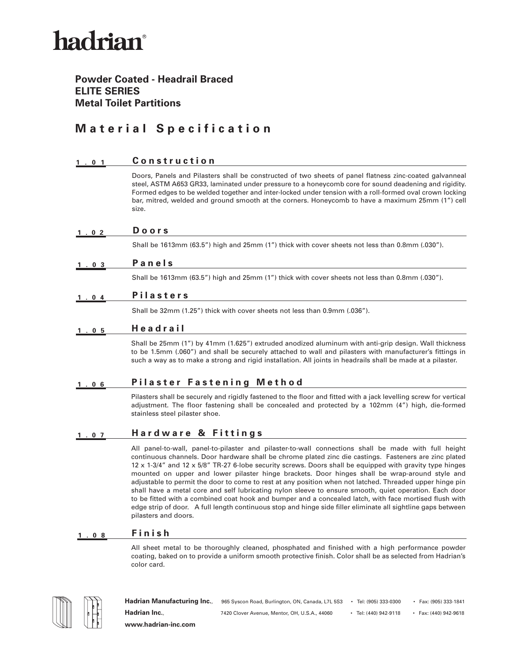# hadrian®

### **Powder Coated - Headrail Braced ELITE SERIES Metal Toilet Partitions**

### **Material Specification**

#### **1.01 Construction**

Doors, Panels and Pilasters shall be constructed of two sheets of panel flatness zinc-coated galvanneal steel, ASTM A653 GR33, laminated under pressure to a honeycomb core for sound deadening and rigidity. Formed edges to be welded together and inter-locked under tension with a roll-formed oval crown locking bar, mitred, welded and ground smooth at the corners. Honeycomb to have a maximum 25mm (1") cell size.

#### **1.02 Doors**

Shall be 1613mm (63.5") high and 25mm (1") thick with cover sheets not less than 0.8mm (.030").

#### **1.03 Panels**

Shall be 1613mm (63.5") high and 25mm (1") thick with cover sheets not less than 0.8mm (.030").

#### **1.04 Pilasters**

Shall be 32mm (1.25") thick with cover sheets not less than 0.9mm (.036").

#### **1.05 Headrail**

Shall be 25mm (1") by 41mm (1.625") extruded anodized aluminum with anti-grip design. Wall thickness to be 1.5mm (.060") and shall be securely attached to wall and pilasters with manufacturer's fittings in such a way as to make a strong and rigid installation. All joints in headrails shall be made at a pilaster.

### **1.06 Pilaster Fastening Method**

Pilasters shall be securely and rigidly fastened to the floor and fitted with a jack levelling screw for vertical adjustment. The floor fastening shall be concealed and protected by a 102mm (4") high, die-formed stainless steel pilaster shoe.

#### **1.07 Hardware & Fittings**

All panel-to-wall, panel-to-pilaster and pilaster-to-wall connections shall be made with full height continuous channels. Door hardware shall be chrome plated zinc die castings. Fasteners are zinc plated 12 x 1-3/4" and 12 x 5/8" TR-27 6-lobe security screws. Doors shall be equipped with gravity type hinges mounted on upper and lower pilaster hinge brackets. Door hinges shall be wrap-around style and adjustable to permit the door to come to rest at any position when not latched. Threaded upper hinge pin shall have a metal core and self lubricating nylon sleeve to ensure smooth, quiet operation. Each door to be fitted with a combined coat hook and bumper and a concealed latch, with face mortised flush with edge strip of door. A full length continuous stop and hinge side filler eliminate all sightline gaps between pilasters and doors.

#### **1.08 Finish**

All sheet metal to be thoroughly cleaned, phosphated and finished with a high performance powder coating, baked on to provide a uniform smooth protective finish. Color shall be as selected from Hadrian's color card.



Hadrian Manufacturing Inc., 965 Syscon Road, Burlington, ON, Canada, L7L 5S3 • Tel: (905) 333-0300 • Fax: (905) 333-1841 **Hadrian Inc.**, 7420 Clover Avenue, Mentor, OH, U.S.A., 44060 • Tel: (440) 942-9118 • Fax: (440) 942-9618 **www.hadrian-inc.com**